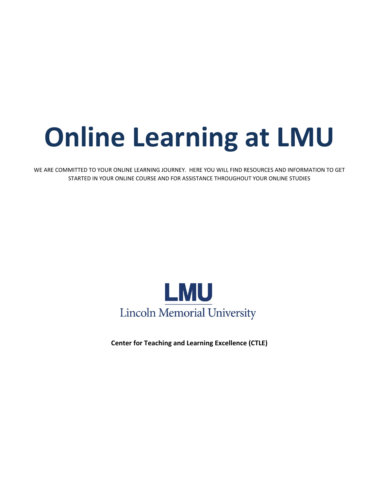# **Online Learning at LMU**

WE ARE COMMITTED TO YOUR ONLINE LEARNING JOURNEY. HERE YOU WILL FIND RESOURCES AND INFORMATION TO GET STARTED IN YOUR ONLINE COURSE AND FOR ASSISTANCE THROUGHOUT YOUR ONLINE STUDIES



**Center for Teaching and Learning Excellence (CTLE)**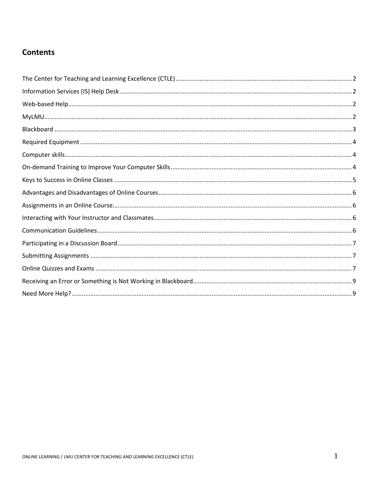# **Contents**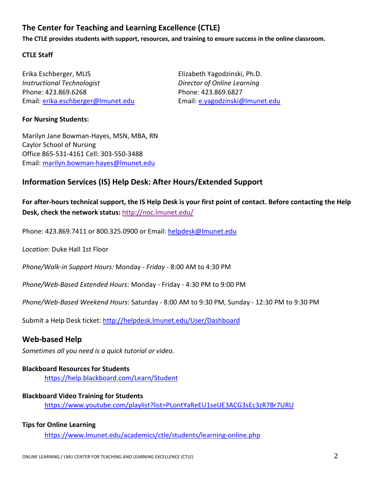# <span id="page-2-0"></span>**The Center for Teaching and Learning Excellence (CTLE)**

**The CTLE provides students with support, resources, and training to ensure success in the online classroom.** 

#### **CTLE Staff**

Erika Eschberger, MLIS Elizabeth Yagodzinski, Ph.D. *Instructional Technologist Director of Online Learning* Phone: 423.869.6268 Phone: 423.869.6827 Email: [erika.eschberger@lmunet.edu](mailto:erika.eschberger@lmunet.edu) Email: [e.yagodzinski@lmunet.edu](mailto:e.yagodzinski@lmunet.edu)

#### **For Nursing Students:**

Marilyn Jane Bowman-Hayes, MSN, MBA, RN Caylor School of Nursing Office 865-531-4161 Cell: 303-550-3488 Email: [marilyn.bowman-hayes@lmunet.edu](mailto:marilyn.bowman-hayes@lmunet.edu)

## <span id="page-2-1"></span>**Information Services (IS) Help Desk: After Hours/Extended Support**

**For after-hours technical support, the IS Help Desk is your first point of contact. Before contacting the Help Desk, check the network status:** <http://noc.lmunet.edu/>

Phone: 423.869.7411 or 800.325.0900 or Email: [helpdesk@lmunet.edu](mailto:helpdesk@lmunet.edu)

*Location*: Duke Hall 1st Floor

*Phone/Walk-in Support Hours:* Monday *- Friday* - 8:00 AM to 4:30 PM

*Phone/Web-Based Extended Hours*: Monday - Friday - 4:30 PM to 9:00 PM

*Phone/Web-Based Weekend Hours*: Saturday - 8:00 AM to 9:30 PM, Sunday - 12:30 PM to 9:30 PM

Submit a Help Desk ticket:<http://helpdesk.lmunet.edu/User/Dashboard>

## <span id="page-2-2"></span>**Web-based Help**

*Sometimes all you need is a quick tutorial or video.*

#### **Blackboard Resources for Students**

<https://help.blackboard.com/Learn/Student>

#### **Blackboard Video Training for Students**

<https://www.youtube.com/playlist?list=PLontYaReEU1seUE3ACG3sEc3zR7Br7URU>

#### **Tips for Online Learning**

<span id="page-2-3"></span><https://www.lmunet.edu/academics/ctle/students/learning-online.php>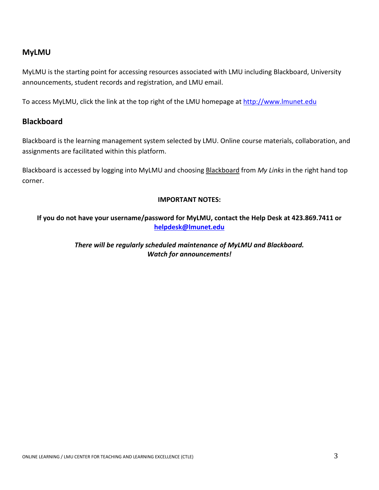## **MyLMU**

MyLMU is the starting point for accessing resources associated with LMU including Blackboard, University announcements, student records and registration, and LMU email.

To access MyLMU, click the link at the top right of the LMU homepage at [http://www.lmunet.edu](http://www.lmunet.edu/)

## <span id="page-3-0"></span>**Blackboard**

Blackboard is the learning management system selected by LMU. Online course materials, collaboration, and assignments are facilitated within this platform.

Blackboard is accessed by logging into MyLMU and choosing Blackboard from *My Links* in the right hand top corner.

#### **IMPORTANT NOTES:**

<span id="page-3-1"></span>**If you do not have your username/password for MyLMU, contact the Help Desk at 423.869.7411 or [helpdesk@lmunet.edu](mailto:helpdesk@lmunet.edu)**

> *There will be regularly scheduled maintenance of MyLMU and Blackboard. Watch for announcements!*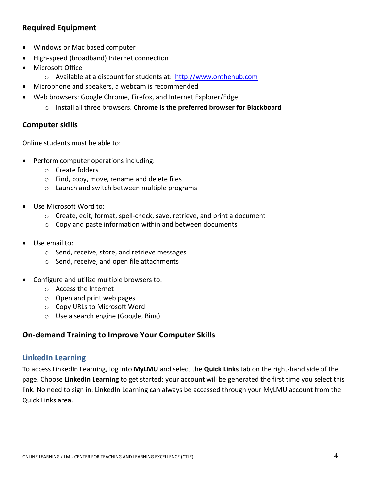# **Required Equipment**

- Windows or Mac based computer
- High-speed (broadband) Internet connection
- Microsoft Office
	- o Available at a discount for students at: http://www.onthehub.com
- Microphone and speakers, a webcam is recommended
- Web browsers: Google Chrome, Firefox, and Internet Explorer/Edge
	- o Install all three browsers. **Chrome is the preferred browser for Blackboard**

## <span id="page-4-0"></span>**Computer skills**

Online students must be able to:

- Perform computer operations including:
	- o Create folders
	- o Find, copy, move, rename and delete files
	- o Launch and switch between multiple programs
- Use Microsoft Word to:
	- o Create, edit, format, spell-check, save, retrieve, and print a document
	- o Copy and paste information within and between documents
- Use email to:
	- o Send, receive, store, and retrieve messages
	- o Send, receive, and open file attachments
- Configure and utilize multiple browsers to:
	- o Access the Internet
	- o Open and print web pages
	- o Copy URLs to Microsoft Word
	- o Use a search engine (Google, Bing)

## <span id="page-4-1"></span>**On-demand Training to Improve Your Computer Skills**

## **LinkedIn Learning**

To access LinkedIn Learning, log into **MyLMU** and select the **Quick Links** tab on the right-hand side of the page. Choose **LinkedIn Learning** to get started: your account will be generated the first time you select this link. No need to sign in: LinkedIn Learning can always be accessed through your MyLMU account from the Quick Links area.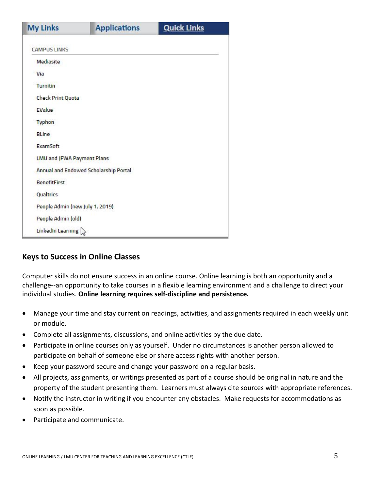| <b>My Links</b>                       | <b>Applications</b> | <b>Quick Links</b> |  |
|---------------------------------------|---------------------|--------------------|--|
|                                       |                     |                    |  |
| <b>CAMPUS LINKS</b>                   |                     |                    |  |
| Mediasite                             |                     |                    |  |
| Via                                   |                     |                    |  |
| <b>Turnitin</b>                       |                     |                    |  |
| <b>Check Print Quota</b>              |                     |                    |  |
| EValue                                |                     |                    |  |
| <b>Typhon</b>                         |                     |                    |  |
| <b>BLine</b>                          |                     |                    |  |
| ExamSoft                              |                     |                    |  |
| <b>LMU and JFWA Payment Plans</b>     |                     |                    |  |
| Annual and Endowed Scholarship Portal |                     |                    |  |
| <b>BenefitFirst</b>                   |                     |                    |  |
| Qualtrics                             |                     |                    |  |
| People Admin (new July 1, 2019)       |                     |                    |  |
| People Admin (old)                    |                     |                    |  |
| LinkedIn Learning                     |                     |                    |  |

## <span id="page-5-0"></span>**Keys to Success in Online Classes**

Computer skills do not ensure success in an online course. Online learning is both an opportunity and a challenge--an opportunity to take courses in a flexible learning environment and a challenge to direct your individual studies. **Online learning requires self-discipline and persistence.** 

- Manage your time and stay current on readings, activities, and assignments required in each weekly unit or module.
- Complete all assignments, discussions, and online activities by the due date.
- Participate in online courses only as yourself. Under no circumstances is another person allowed to participate on behalf of someone else or share access rights with another person.
- Keep your password secure and change your password on a regular basis.
- All projects, assignments, or writings presented as part of a course should be original in nature and the property of the student presenting them. Learners must always cite sources with appropriate references.
- Notify the instructor in writing if you encounter any obstacles. Make requests for accommodations as soon as possible.
- <span id="page-5-1"></span>• Participate and communicate.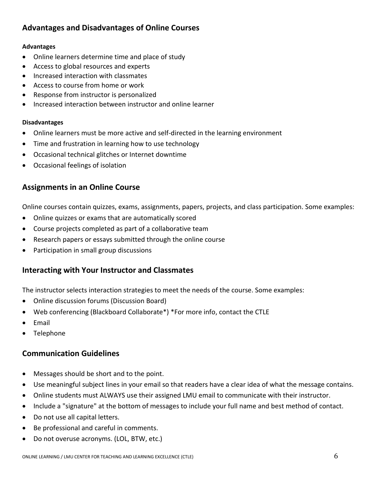# **Advantages and Disadvantages of Online Courses**

#### **Advantages**

- Online learners determine time and place of study
- Access to global resources and experts
- Increased interaction with classmates
- Access to course from home or work
- Response from instructor is personalized
- Increased interaction between instructor and online learner

#### **Disadvantages**

- Online learners must be more active and self-directed in the learning environment
- Time and frustration in learning how to use technology
- Occasional technical glitches or Internet downtime
- Occasional feelings of isolation

## <span id="page-6-0"></span>**Assignments in an Online Course**

Online courses contain quizzes, exams, assignments, papers, projects, and class participation. Some examples:

- Online quizzes or exams that are automatically scored
- Course projects completed as part of a collaborative team
- Research papers or essays submitted through the online course
- Participation in small group discussions

## <span id="page-6-1"></span>**Interacting with Your Instructor and Classmates**

The instructor selects interaction strategies to meet the needs of the course. Some examples:

- Online discussion forums (Discussion Board)
- Web conferencing (Blackboard Collaborate\*) \*For more info, contact the CTLE
- Email
- Telephone

## <span id="page-6-2"></span>**Communication Guidelines**

- Messages should be short and to the point.
- Use meaningful subject lines in your email so that readers have a clear idea of what the message contains.
- Online students must ALWAYS use their assigned LMU email to communicate with their instructor.
- Include a "signature" at the bottom of messages to include your full name and best method of contact.
- Do not use all capital letters.
- Be professional and careful in comments.
- Do not overuse acronyms. (LOL, BTW, etc.)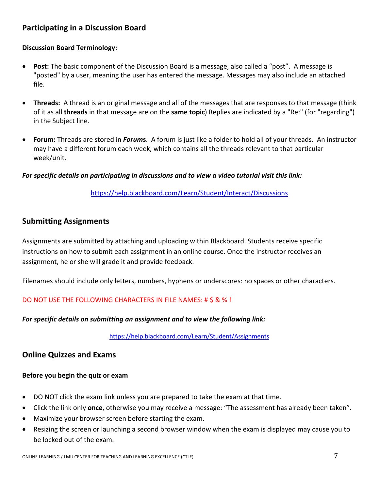# <span id="page-7-0"></span>**Participating in a Discussion Board**

## **Discussion Board Terminology:**

- **Post:** The basic component of the Discussion Board is a message, also called a "post". A message is "posted" by a user, meaning the user has entered the message. Messages may also include an attached file.
- **Threads:** A thread is an original message and all of the messages that are responses to that message (think of it as all **threads** in that message are on the **same topic**) Replies are indicated by a "Re:" (for "regarding") in the Subject line.
- **Forum:** Threads are stored in *Forum***s**. A forum is just like a folder to hold all of your threads. An instructor may have a different forum each week, which contains all the threads relevant to that particular week/unit.

#### *For specific details on participating in discussions and to view a video tutorial visit this link:*

<https://help.blackboard.com/Learn/Student/Interact/Discussions>

## <span id="page-7-1"></span>**Submitting Assignments**

Assignments are submitted by attaching and uploading within Blackboard. Students receive specific instructions on how to submit each assignment in an online course. Once the instructor receives an assignment, he or she will grade it and provide feedback.

Filenames should include only letters, numbers, hyphens or underscores: no spaces or other characters.

#### DO NOT USE THE FOLLOWING CHARACTERS IN FILE NAMES: # \$ & % !

#### *For specific details on submitting an assignment and to view the following link:*

<https://help.blackboard.com/Learn/Student/Assignments>

## <span id="page-7-2"></span>**Online Quizzes and Exams**

#### **Before you begin the quiz or exam**

- DO NOT click the exam link unless you are prepared to take the exam at that time.
- Click the link only **once**, otherwise you may receive a message: "The assessment has already been taken".
- Maximize your browser screen before starting the exam.
- Resizing the screen or launching a second browser window when the exam is displayed may cause you to be locked out of the exam.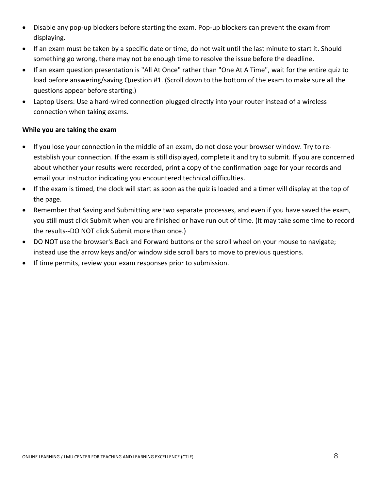- Disable any pop-up blockers before starting the exam. Pop-up blockers can prevent the exam from displaying.
- If an exam must be taken by a specific date or time, do not wait until the last minute to start it. Should something go wrong, there may not be enough time to resolve the issue before the deadline.
- If an exam question presentation is "All At Once" rather than "One At A Time", wait for the entire quiz to load before answering/saving Question #1. (Scroll down to the bottom of the exam to make sure all the questions appear before starting.)
- Laptop Users: Use a hard-wired connection plugged directly into your router instead of a wireless connection when taking exams.

## **While you are taking the exam**

- If you lose your connection in the middle of an exam, do not close your browser window. Try to reestablish your connection. If the exam is still displayed, complete it and try to submit. If you are concerned about whether your results were recorded, print a copy of the confirmation page for your records and email your instructor indicating you encountered technical difficulties.
- If the exam is timed, the clock will start as soon as the quiz is loaded and a timer will display at the top of the page.
- Remember that Saving and Submitting are two separate processes, and even if you have saved the exam, you still must click Submit when you are finished or have run out of time. (It may take some time to record the results--DO NOT click Submit more than once.)
- DO NOT use the browser's Back and Forward buttons or the scroll wheel on your mouse to navigate; instead use the arrow keys and/or window side scroll bars to move to previous questions.
- <span id="page-8-0"></span>• If time permits, review your exam responses prior to submission.